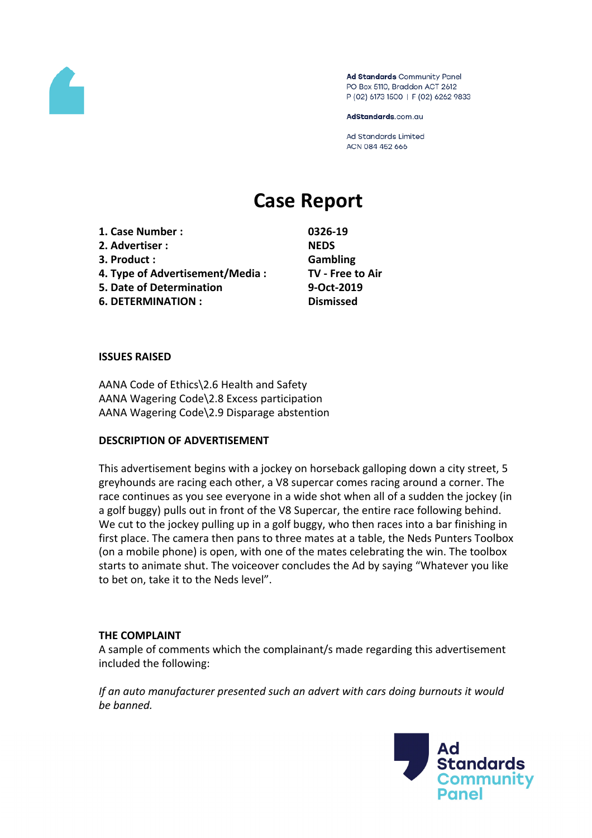

Ad Standards Community Panel PO Box 5110, Braddon ACT 2612 P (02) 6173 1500 | F (02) 6262 9833

AdStandards.com.au

**Ad Standards Limited** ACN 084 452 666

# **Case Report**

**1. Case Number : 0326-19 2. Advertiser : NEDS 3. Product : Gambling 4. Type of Advertisement/Media : TV - Free to Air 5. Date of Determination 9-Oct-2019 6. DETERMINATION : Dismissed**

#### **ISSUES RAISED**

AANA Code of Ethics\2.6 Health and Safety AANA Wagering Code\2.8 Excess participation AANA Wagering Code\2.9 Disparage abstention

#### **DESCRIPTION OF ADVERTISEMENT**

This advertisement begins with a jockey on horseback galloping down a city street, 5 greyhounds are racing each other, a V8 supercar comes racing around a corner. The race continues as you see everyone in a wide shot when all of a sudden the jockey (in a golf buggy) pulls out in front of the V8 Supercar, the entire race following behind. We cut to the jockey pulling up in a golf buggy, who then races into a bar finishing in first place. The camera then pans to three mates at a table, the Neds Punters Toolbox (on a mobile phone) is open, with one of the mates celebrating the win. The toolbox starts to animate shut. The voiceover concludes the Ad by saying "Whatever you like to bet on, take it to the Neds level".

#### **THE COMPLAINT**

A sample of comments which the complainant/s made regarding this advertisement included the following:

*If an auto manufacturer presented such an advert with cars doing burnouts it would be banned.*

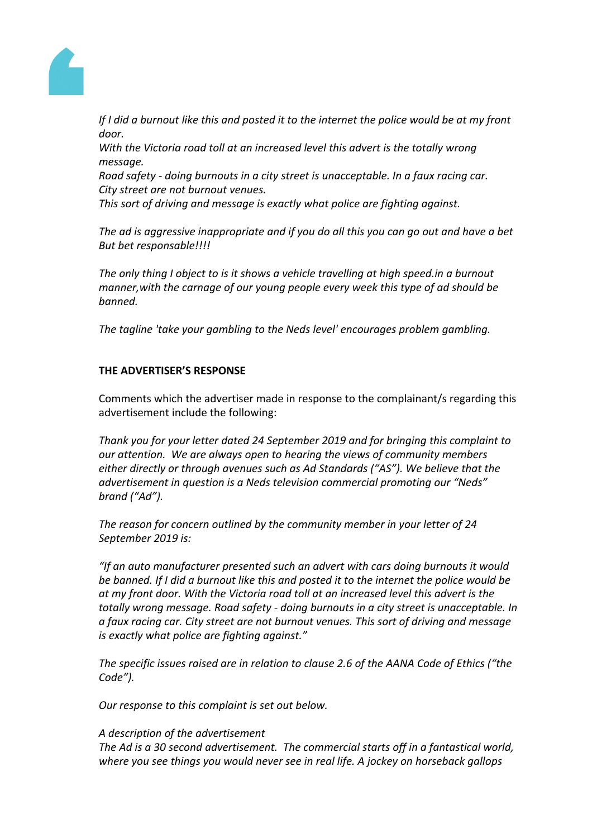

If I did a burnout like this and posted it to the internet the police would be at my front *door.*

*With the Victoria road toll at an increased level this advert is the totally wrong message.*

*Road safety - doing burnouts in a city street is unacceptable. In a faux racing car. City street are not burnout venues.*

*This sort of driving and message is exactly what police are fighting against.*

*The ad is aggressive inappropriate and if you do all this you can go out and have a bet But bet responsable!!!!*

*The only thing I object to is it shows a vehicle travelling at high speed.in a burnout manner,with the carnage of our young people every week this type of ad should be banned.*

*The tagline 'take your gambling to the Neds level' encourages problem gambling.*

# **THE ADVERTISER'S RESPONSE**

Comments which the advertiser made in response to the complainant/s regarding this advertisement include the following:

*Thank you for your letter dated 24 September 2019 and for bringing this complaint to our attention. We are always open to hearing the views of community members either directly or through avenues such as Ad Standards ("AS"). We believe that the advertisement in question is a Neds television commercial promoting our "Neds" brand ("Ad").* 

*The reason for concern outlined by the community member in your letter of 24 September 2019 is:* 

*"If an auto manufacturer presented such an advert with cars doing burnouts it would be banned. If I did a burnout like this and posted it to the internet the police would be at my front door. With the Victoria road toll at an increased level this advert is the totally wrong message. Road safety - doing burnouts in a city street is unacceptable. In a faux racing car. City street are not burnout venues. This sort of driving and message is exactly what police are fighting against."*

*The specific issues raised are in relation to clause 2.6 of the AANA Code of Ethics ("the Code").*

*Our response to this complaint is set out below.* 

## *A description of the advertisement*

*The Ad is a 30 second advertisement. The commercial starts off in a fantastical world, where you see things you would never see in real life. A jockey on horseback gallops*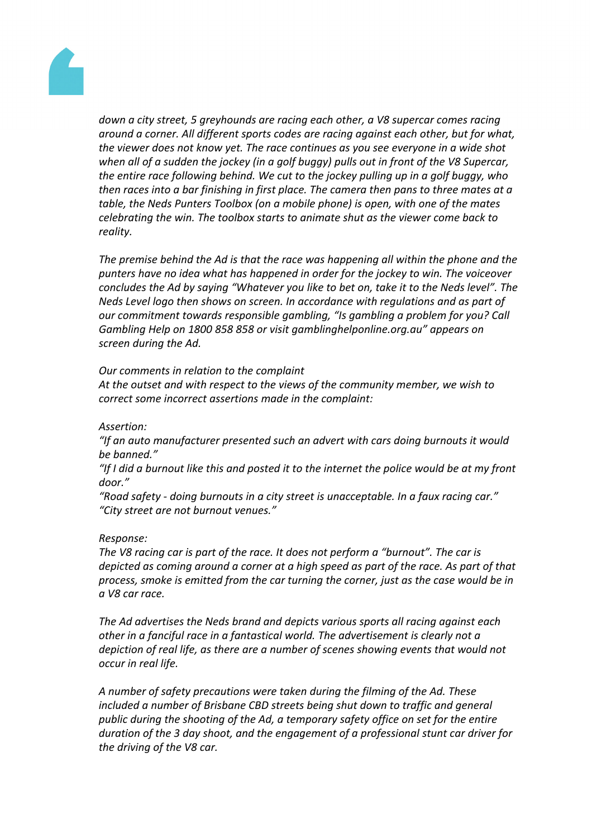

*down a city street, 5 greyhounds are racing each other, a V8 supercar comes racing around a corner. All different sports codes are racing against each other, but for what, the viewer does not know yet. The race continues as you see everyone in a wide shot when all of a sudden the jockey (in a golf buggy) pulls out in front of the V8 Supercar, the entire race following behind. We cut to the jockey pulling up in a golf buggy, who then races into a bar finishing in first place. The camera then pans to three mates at a table, the Neds Punters Toolbox (on a mobile phone) is open, with one of the mates celebrating the win. The toolbox starts to animate shut as the viewer come back to reality.*

*The premise behind the Ad is that the race was happening all within the phone and the punters have no idea what has happened in order for the jockey to win. The voiceover concludes the Ad by saying "Whatever you like to bet on, take it to the Neds level". The Neds Level logo then shows on screen. In accordance with regulations and as part of our commitment towards responsible gambling, "Is gambling a problem for you? Call Gambling Help on 1800 858 858 or visit gamblinghelponline.org.au" appears on screen during the Ad.*

#### *Our comments in relation to the complaint*

*At the outset and with respect to the views of the community member, we wish to correct some incorrect assertions made in the complaint:*

## *Assertion:*

*"If an auto manufacturer presented such an advert with cars doing burnouts it would be banned."*

"If I did a burnout like this and posted it to the internet the police would be at my front *door."*

*"Road safety - doing burnouts in a city street is unacceptable. In a faux racing car." "City street are not burnout venues."*

#### *Response:*

*The V8 racing car is part of the race. It does not perform a "burnout". The car is depicted as coming around a corner at a high speed as part of the race. As part of that process, smoke is emitted from the car turning the corner, just as the case would be in a V8 car race.*

*The Ad advertises the Neds brand and depicts various sports all racing against each other in a fanciful race in a fantastical world. The advertisement is clearly not a depiction of real life, as there are a number of scenes showing events that would not occur in real life.*

*A number of safety precautions were taken during the filming of the Ad. These included a number of Brisbane CBD streets being shut down to traffic and general public during the shooting of the Ad, a temporary safety office on set for the entire duration of the 3 day shoot, and the engagement of a professional stunt car driver for the driving of the V8 car.*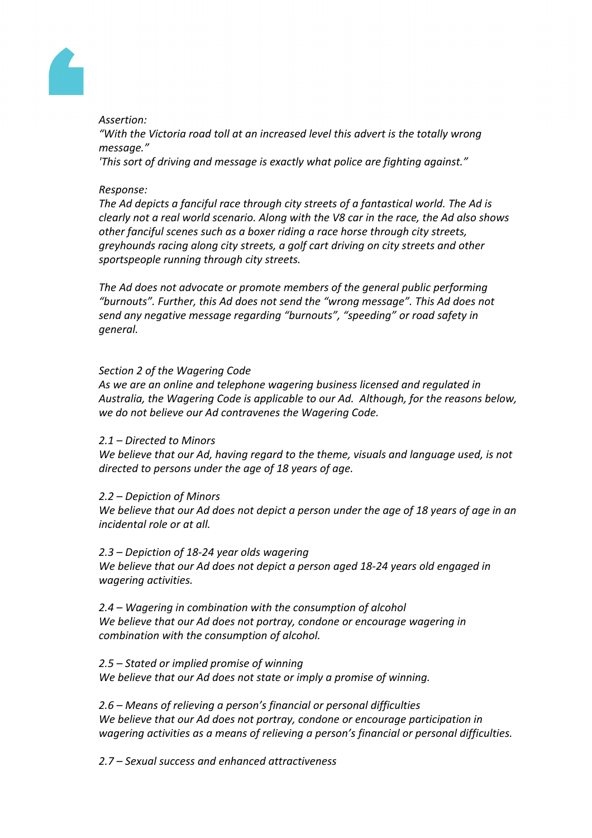

# *Assertion:*

*"With the Victoria road toll at an increased level this advert is the totally wrong message."*

*'This sort of driving and message is exactly what police are fighting against."*

# *Response:*

*The Ad depicts a fanciful race through city streets of a fantastical world. The Ad is clearly not a real world scenario. Along with the V8 car in the race, the Ad also shows other fanciful scenes such as a boxer riding a race horse through city streets, greyhounds racing along city streets, a golf cart driving on city streets and other sportspeople running through city streets.*

*The Ad does not advocate or promote members of the general public performing "burnouts". Further, this Ad does not send the "wrong message". This Ad does not send any negative message regarding "burnouts", "speeding" or road safety in general.*

# *Section 2 of the Wagering Code*

*As we are an online and telephone wagering business licensed and regulated in Australia, the Wagering Code is applicable to our Ad. Although, for the reasons below, we do not believe our Ad contravenes the Wagering Code.*

## *2.1 – Directed to Minors*

*We believe that our Ad, having regard to the theme, visuals and language used, is not directed to persons under the age of 18 years of age.*

## *2.2 – Depiction of Minors*

We believe that our Ad does not depict a person under the age of 18 years of age in an *incidental role or at all.*

## *2.3 – Depiction of 18-24 year olds wagering*

*We believe that our Ad does not depict a person aged 18-24 years old engaged in wagering activities.*

*2.4 – Wagering in combination with the consumption of alcohol We believe that our Ad does not portray, condone or encourage wagering in combination with the consumption of alcohol.* 

*2.5 – Stated or implied promise of winning We believe that our Ad does not state or imply a promise of winning.*

*2.6 – Means of relieving a person's financial or personal difficulties We believe that our Ad does not portray, condone or encourage participation in wagering activities as a means of relieving a person's financial or personal difficulties.*

*2.7 – Sexual success and enhanced attractiveness*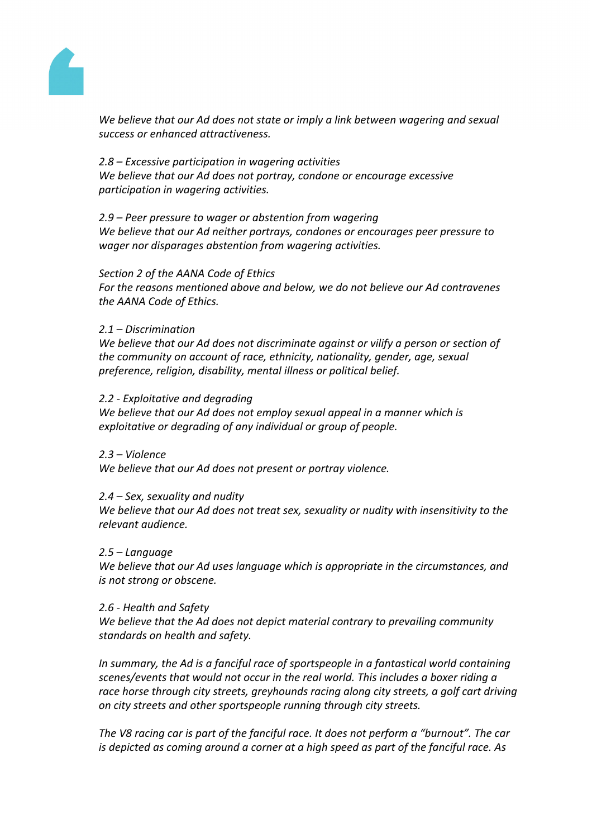

*We believe that our Ad does not state or imply a link between wagering and sexual success or enhanced attractiveness.*

*2.8 – Excessive participation in wagering activities We believe that our Ad does not portray, condone or encourage excessive participation in wagering activities.*

*2.9 – Peer pressure to wager or abstention from wagering We believe that our Ad neither portrays, condones or encourages peer pressure to wager nor disparages abstention from wagering activities.*

#### *Section 2 of the AANA Code of Ethics*

*For the reasons mentioned above and below, we do not believe our Ad contravenes the AANA Code of Ethics.*

## *2.1 – Discrimination*

*We believe that our Ad does not discriminate against or vilify a person or section of the community on account of race, ethnicity, nationality, gender, age, sexual preference, religion, disability, mental illness or political belief.* 

#### *2.2 - Exploitative and degrading*

*We believe that our Ad does not employ sexual appeal in a manner which is exploitative or degrading of any individual or group of people.*

#### *2.3 – Violence*

*We believe that our Ad does not present or portray violence.* 

## *2.4 – Sex, sexuality and nudity*

*We believe that our Ad does not treat sex, sexuality or nudity with insensitivity to the relevant audience.* 

#### *2.5 – Language*

*We believe that our Ad uses language which is appropriate in the circumstances, and is not strong or obscene.* 

#### *2.6 - Health and Safety*

*We believe that the Ad does not depict material contrary to prevailing community standards on health and safety.*

*In summary, the Ad is a fanciful race of sportspeople in a fantastical world containing scenes/events that would not occur in the real world. This includes a boxer riding a race horse through city streets, greyhounds racing along city streets, a golf cart driving on city streets and other sportspeople running through city streets.*

*The V8 racing car is part of the fanciful race. It does not perform a "burnout". The car is depicted as coming around a corner at a high speed as part of the fanciful race. As*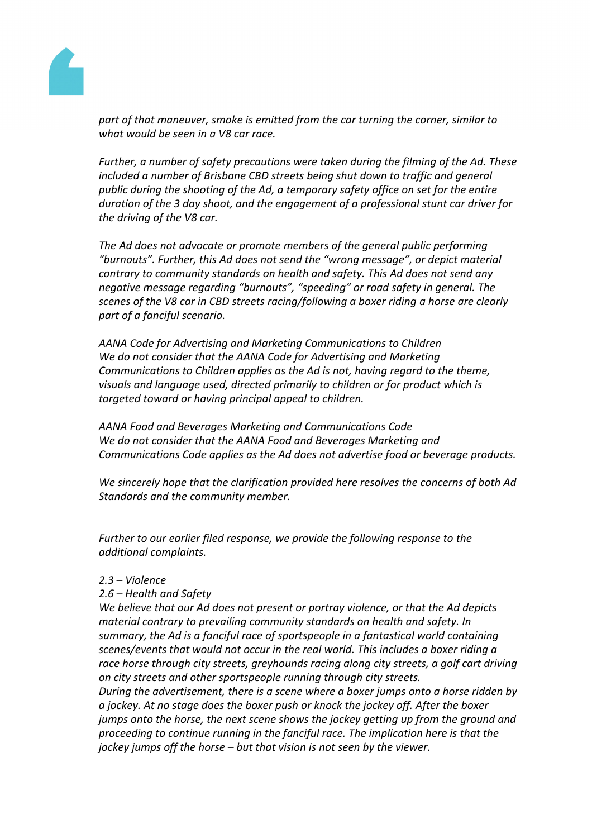

*part of that maneuver, smoke is emitted from the car turning the corner, similar to what would be seen in a V8 car race.*

*Further, a number of safety precautions were taken during the filming of the Ad. These included a number of Brisbane CBD streets being shut down to traffic and general public during the shooting of the Ad, a temporary safety office on set for the entire duration of the 3 day shoot, and the engagement of a professional stunt car driver for the driving of the V8 car.*

*The Ad does not advocate or promote members of the general public performing "burnouts". Further, this Ad does not send the "wrong message", or depict material contrary to community standards on health and safety. This Ad does not send any negative message regarding "burnouts", "speeding" or road safety in general. The scenes of the V8 car in CBD streets racing/following a boxer riding a horse are clearly part of a fanciful scenario.*

*AANA Code for Advertising and Marketing Communications to Children We do not consider that the AANA Code for Advertising and Marketing Communications to Children applies as the Ad is not, having regard to the theme, visuals and language used, directed primarily to children or for product which is targeted toward or having principal appeal to children.* 

*AANA Food and Beverages Marketing and Communications Code We do not consider that the AANA Food and Beverages Marketing and Communications Code applies as the Ad does not advertise food or beverage products.*

*We sincerely hope that the clarification provided here resolves the concerns of both Ad Standards and the community member.*

*Further to our earlier filed response, we provide the following response to the additional complaints.*

## *2.3 – Violence*

*2.6 – Health and Safety*

*We believe that our Ad does not present or portray violence, or that the Ad depicts material contrary to prevailing community standards on health and safety. In summary, the Ad is a fanciful race of sportspeople in a fantastical world containing scenes/events that would not occur in the real world. This includes a boxer riding a race horse through city streets, greyhounds racing along city streets, a golf cart driving on city streets and other sportspeople running through city streets.*

*During the advertisement, there is a scene where a boxer jumps onto a horse ridden by a jockey. At no stage does the boxer push or knock the jockey off. After the boxer jumps onto the horse, the next scene shows the jockey getting up from the ground and proceeding to continue running in the fanciful race. The implication here is that the jockey jumps off the horse – but that vision is not seen by the viewer.*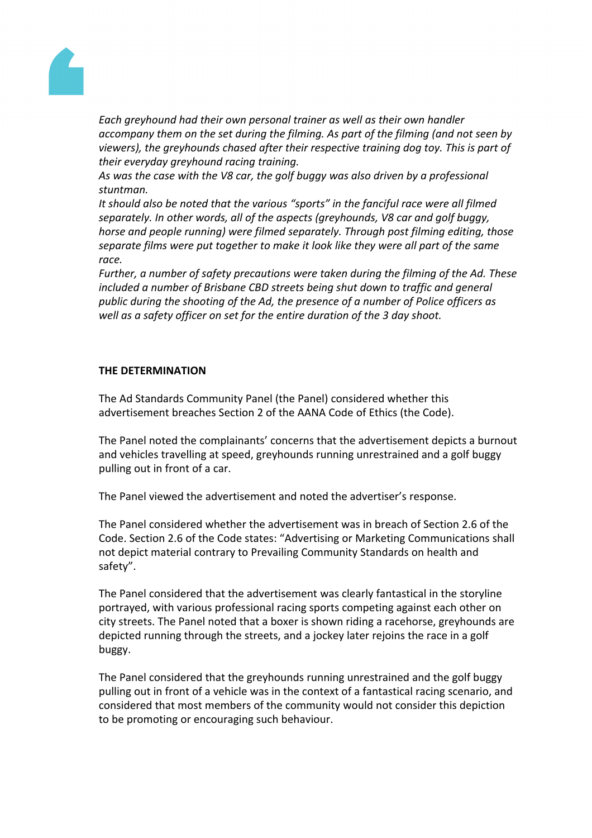

*Each greyhound had their own personal trainer as well as their own handler accompany them on the set during the filming. As part of the filming (and not seen by viewers), the greyhounds chased after their respective training dog toy. This is part of their everyday greyhound racing training.*

*As was the case with the V8 car, the golf buggy was also driven by a professional stuntman.*

*It should also be noted that the various "sports" in the fanciful race were all filmed separately. In other words, all of the aspects (greyhounds, V8 car and golf buggy, horse and people running) were filmed separately. Through post filming editing, those separate films were put together to make it look like they were all part of the same race.*

*Further, a number of safety precautions were taken during the filming of the Ad. These included a number of Brisbane CBD streets being shut down to traffic and general public during the shooting of the Ad, the presence of a number of Police officers as well as a safety officer on set for the entire duration of the 3 day shoot.*

## **THE DETERMINATION**

The Ad Standards Community Panel (the Panel) considered whether this advertisement breaches Section 2 of the AANA Code of Ethics (the Code).

The Panel noted the complainants' concerns that the advertisement depicts a burnout and vehicles travelling at speed, greyhounds running unrestrained and a golf buggy pulling out in front of a car.

The Panel viewed the advertisement and noted the advertiser's response.

The Panel considered whether the advertisement was in breach of Section 2.6 of the Code. Section 2.6 of the Code states: "Advertising or Marketing Communications shall not depict material contrary to Prevailing Community Standards on health and safety".

The Panel considered that the advertisement was clearly fantastical in the storyline portrayed, with various professional racing sports competing against each other on city streets. The Panel noted that a boxer is shown riding a racehorse, greyhounds are depicted running through the streets, and a jockey later rejoins the race in a golf buggy.

The Panel considered that the greyhounds running unrestrained and the golf buggy pulling out in front of a vehicle was in the context of a fantastical racing scenario, and considered that most members of the community would not consider this depiction to be promoting or encouraging such behaviour.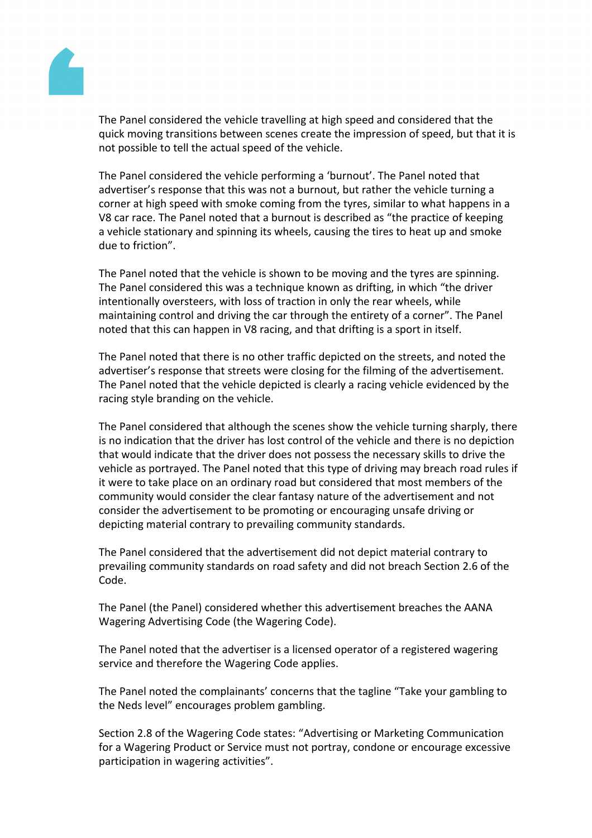

The Panel considered the vehicle travelling at high speed and considered that the quick moving transitions between scenes create the impression of speed, but that it is not possible to tell the actual speed of the vehicle.

The Panel considered the vehicle performing a 'burnout'. The Panel noted that advertiser's response that this was not a burnout, but rather the vehicle turning a corner at high speed with smoke coming from the tyres, similar to what happens in a V8 car race. The Panel noted that a burnout is described as "the practice of keeping a vehicle stationary and spinning its wheels, causing the tires to heat up and smoke due to friction".

The Panel noted that the vehicle is shown to be moving and the tyres are spinning. The Panel considered this was a technique known as drifting, in which "the driver intentionally oversteers, with loss of traction in only the rear wheels, while maintaining control and driving the car through the entirety of a corner". The Panel noted that this can happen in V8 racing, and that drifting is a sport in itself.

The Panel noted that there is no other traffic depicted on the streets, and noted the advertiser's response that streets were closing for the filming of the advertisement. The Panel noted that the vehicle depicted is clearly a racing vehicle evidenced by the racing style branding on the vehicle.

The Panel considered that although the scenes show the vehicle turning sharply, there is no indication that the driver has lost control of the vehicle and there is no depiction that would indicate that the driver does not possess the necessary skills to drive the vehicle as portrayed. The Panel noted that this type of driving may breach road rules if it were to take place on an ordinary road but considered that most members of the community would consider the clear fantasy nature of the advertisement and not consider the advertisement to be promoting or encouraging unsafe driving or depicting material contrary to prevailing community standards.

The Panel considered that the advertisement did not depict material contrary to prevailing community standards on road safety and did not breach Section 2.6 of the Code.

The Panel (the Panel) considered whether this advertisement breaches the AANA Wagering Advertising Code (the Wagering Code).

The Panel noted that the advertiser is a licensed operator of a registered wagering service and therefore the Wagering Code applies.

The Panel noted the complainants' concerns that the tagline "Take your gambling to the Neds level" encourages problem gambling.

Section 2.8 of the Wagering Code states: "Advertising or Marketing Communication for a Wagering Product or Service must not portray, condone or encourage excessive participation in wagering activities".